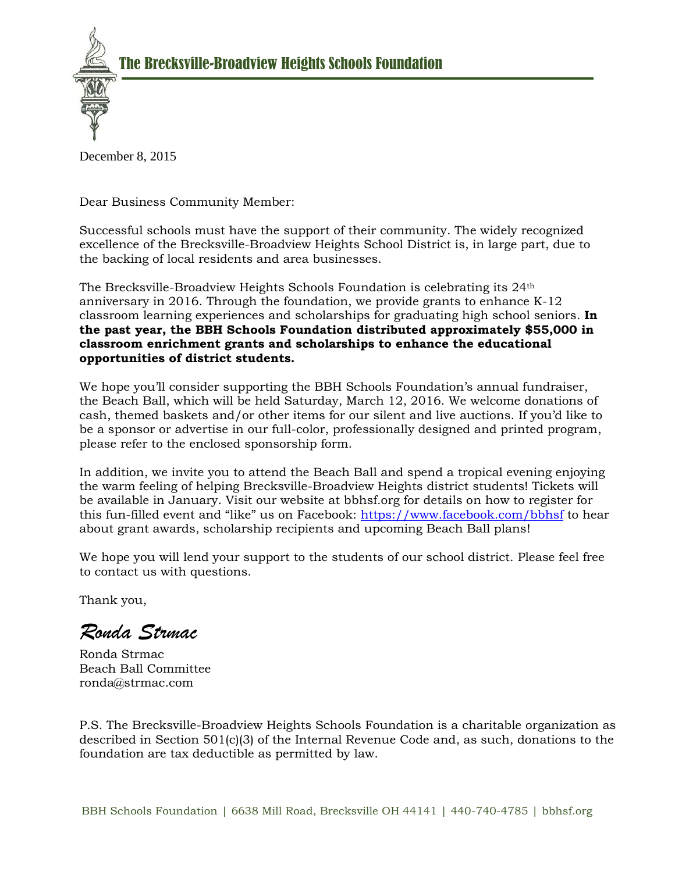

December 8, 2015

Dear Business Community Member:

Successful schools must have the support of their community. The widely recognized excellence of the Brecksville-Broadview Heights School District is, in large part, due to the backing of local residents and area businesses.

The Brecksville-Broadview Heights Schools Foundation is celebrating its 24th anniversary in 2016. Through the foundation, we provide grants to enhance K-12 classroom learning experiences and scholarships for graduating high school seniors. **In the past year, the BBH Schools Foundation distributed approximately \$55,000 in classroom enrichment grants and scholarships to enhance the educational opportunities of district students.**

We hope you'll consider supporting the BBH Schools Foundation's annual fundraiser, the Beach Ball, which will be held Saturday, March 12, 2016. We welcome donations of cash, themed baskets and/or other items for our silent and live auctions. If you'd like to be a sponsor or advertise in our full-color, professionally designed and printed program, please refer to the enclosed sponsorship form.

In addition, we invite you to attend the Beach Ball and spend a tropical evening enjoying the warm feeling of helping Brecksville-Broadview Heights district students! Tickets will be available in January. Visit our website at bbhsf.org for details on how to register for this fun-filled event and "like" us on Facebook: https://www.facebook.com/bbhsf to hear about grant awards, scholarship recipients and upcoming Beach Ball plans!

We hope you will lend your support to the students of our school district. Please feel free to contact us with questions.

Thank you,

*Ronda Strmac*

Ronda Strmac Beach Ball Committee ronda@strmac.com

P.S. The Brecksville-Broadview Heights Schools Foundation is a charitable organization as described in Section 501(c)(3) of the Internal Revenue Code and, as such, donations to the foundation are tax deductible as permitted by law.